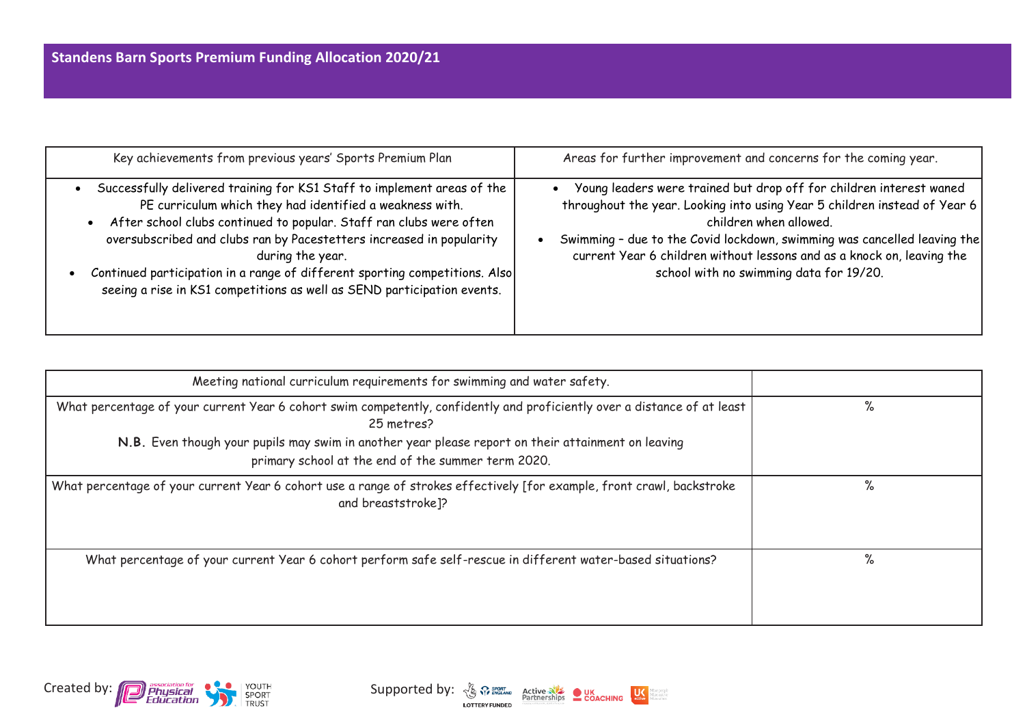| Key achievements from previous years' Sports Premium Plan                                                                                                                                                                                                                                                                                                                                                                                                                     | Areas for further improvement and concerns for the coming year.                                                                                                                                                                                                                                                                                                             |
|-------------------------------------------------------------------------------------------------------------------------------------------------------------------------------------------------------------------------------------------------------------------------------------------------------------------------------------------------------------------------------------------------------------------------------------------------------------------------------|-----------------------------------------------------------------------------------------------------------------------------------------------------------------------------------------------------------------------------------------------------------------------------------------------------------------------------------------------------------------------------|
| Successfully delivered training for KS1 Staff to implement areas of the<br>PE curriculum which they had identified a weakness with.<br>After school clubs continued to popular. Staff ran clubs were often<br>$\bullet$<br>oversubscribed and clubs ran by Pacestetters increased in popularity<br>during the year.<br>Continued participation in a range of different sporting competitions. Also<br>seeing a rise in KS1 competitions as well as SEND participation events. | Young leaders were trained but drop off for children interest waned<br>throughout the year. Looking into using Year 5 children instead of Year 6<br>children when allowed.<br>Swimming - due to the Covid lockdown, swimming was cancelled leaving the<br>current Year 6 children without lessons and as a knock on, leaving the<br>school with no swimming data for 19/20. |

| Meeting national curriculum requirements for swimming and water safety.                                                                                  |   |
|----------------------------------------------------------------------------------------------------------------------------------------------------------|---|
| What percentage of your current Year 6 cohort swim competently, confidently and proficiently over a distance of at least<br>25 metres?                   | % |
| N.B. Even though your pupils may swim in another year please report on their attainment on leaving<br>primary school at the end of the summer term 2020. |   |
| What percentage of your current Year 6 cohort use a range of strokes effectively [for example, front crawl, backstroke<br>and breaststroke]?             | % |
| What percentage of your current Year 6 cohort perform safe self-rescue in different water-based situations?                                              | % |



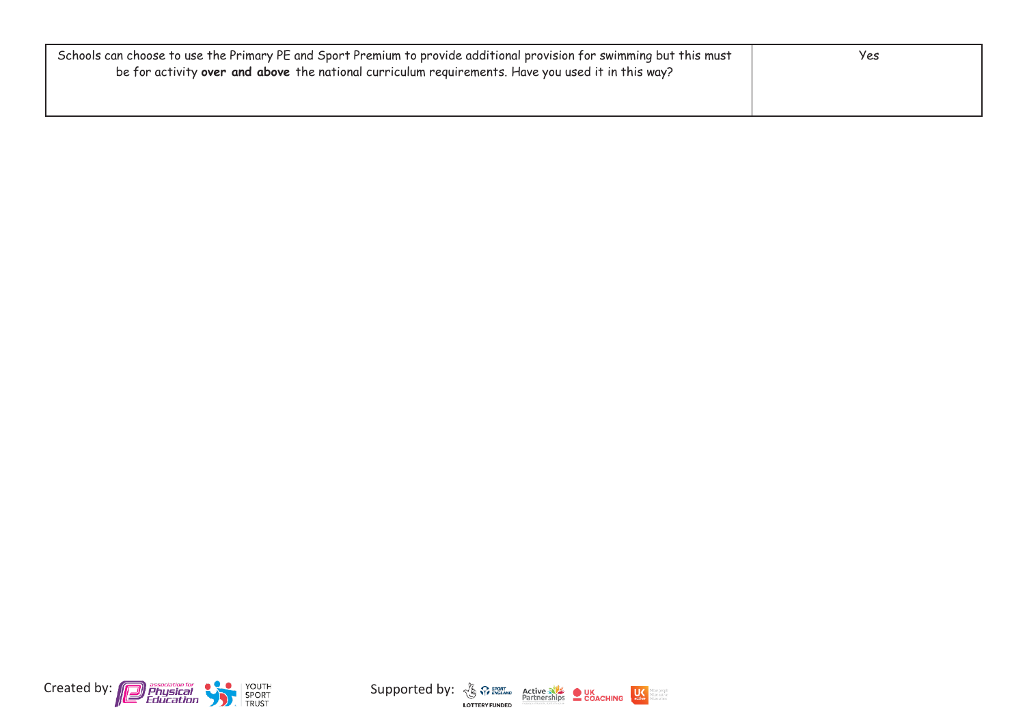| Schools can choose to use the Primary PE and Sport Premium to provide additional provision for swimming but this must<br>be for activity over and above the national curriculum requirements. Have you used it in this way? | Yes |
|-----------------------------------------------------------------------------------------------------------------------------------------------------------------------------------------------------------------------------|-----|
|                                                                                                                                                                                                                             |     |



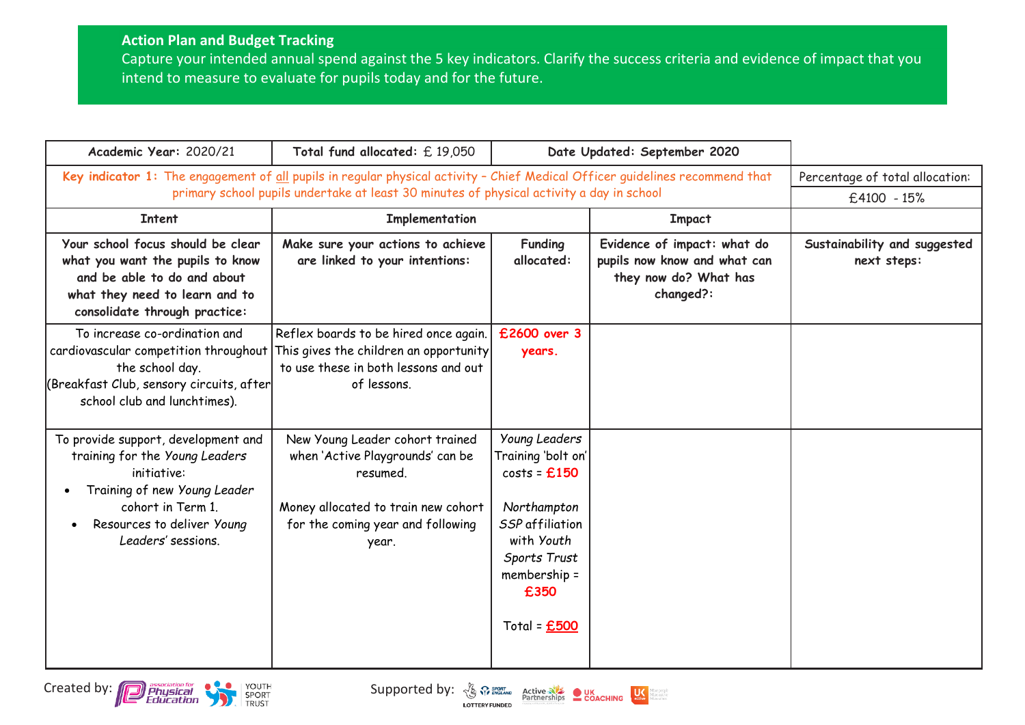## **Action Plan and Budget Tracking**

Created by: **Contract of the Supported by:**  $\frac{1}{2}$  Contract Business Contract Business Contract Business Contract Business Contract Business Contract Business Contract Business Contract Business Contract Business Contra

Capture your intended annual spend against the 5 key indicators. Clarify the success criteria and evidence of impact that you intend to measure to evaluate for pupils today and for the future.

| Academic Year: 2020/21                                                                                                                                                                        | Total fund allocated: £19,050                                                                                                                                        |                                                                                                                                                                       | Date Updated: September 2020                                                                      |                                             |
|-----------------------------------------------------------------------------------------------------------------------------------------------------------------------------------------------|----------------------------------------------------------------------------------------------------------------------------------------------------------------------|-----------------------------------------------------------------------------------------------------------------------------------------------------------------------|---------------------------------------------------------------------------------------------------|---------------------------------------------|
| Key indicator 1: The engagement of all pupils in regular physical activity - Chief Medical Officer guidelines recommend that                                                                  | Percentage of total allocation:                                                                                                                                      |                                                                                                                                                                       |                                                                                                   |                                             |
|                                                                                                                                                                                               | primary school pupils undertake at least 30 minutes of physical activity a day in school                                                                             |                                                                                                                                                                       |                                                                                                   | £4100 - 15%                                 |
| <b>Intent</b>                                                                                                                                                                                 | Implementation                                                                                                                                                       |                                                                                                                                                                       | <b>Impact</b>                                                                                     |                                             |
| Your school focus should be clear<br>what you want the pupils to know<br>and be able to do and about<br>what they need to learn and to<br>consolidate through practice:                       | Make sure your actions to achieve<br>are linked to your intentions:                                                                                                  | <b>Funding</b><br>allocated:                                                                                                                                          | Evidence of impact: what do<br>pupils now know and what can<br>they now do? What has<br>changed?: | Sustainability and suggested<br>next steps: |
| To increase co-ordination and<br>cardiovascular competition throughout<br>the school day.<br>(Breakfast Club, sensory circuits, after<br>school club and lunchtimes).                         | Reflex boards to be hired once again.<br>This gives the children an opportunity<br>to use these in both lessons and out<br>of lessons.                               | £2600 over 3<br>years.                                                                                                                                                |                                                                                                   |                                             |
| To provide support, development and<br>training for the Young Leaders<br>initiative:<br>Training of new Young Leader<br>cohort in Term 1.<br>Resources to deliver Young<br>Leaders' sessions. | New Young Leader cohort trained<br>when 'Active Playgrounds' can be<br>resumed.<br>Money allocated to train new cohort<br>for the coming year and following<br>year. | <b>Young Leaders</b><br>Training 'bolt on' <br>$costs = £150$<br>Northampton<br>SSP affiliation<br>with Youth<br>Sports Trust<br>membership =<br>£350<br>Total = £500 |                                                                                                   |                                             |

LOTTERY FUNDED

 $U\zeta$ dore people<br>dore active<br>dore of ten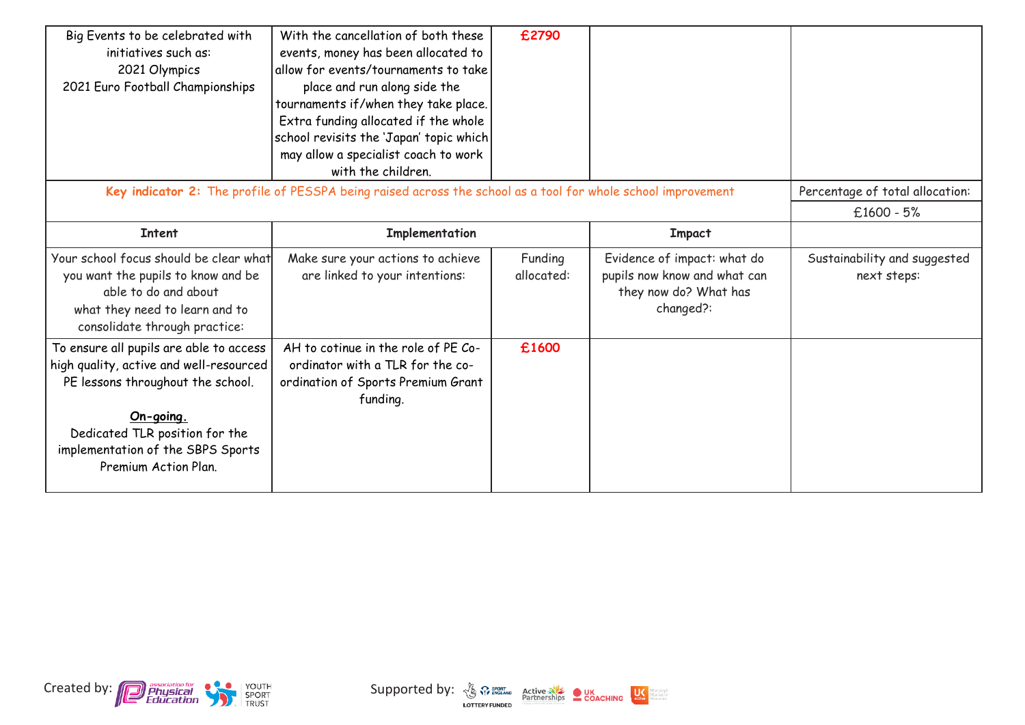| Big Events to be celebrated with<br>initiatives such as:<br>2021 Olympics<br>2021 Euro Football Championships                                                                                                                       | With the cancellation of both these<br>events, money has been allocated to<br>allow for events/tournaments to take<br>place and run along side the<br>tournaments if/when they take place.<br>Extra funding allocated if the whole<br>school revisits the 'Japan' topic which<br>may allow a specialist coach to work<br>with the children. | £2790                 |                                                                                                   |                                             |
|-------------------------------------------------------------------------------------------------------------------------------------------------------------------------------------------------------------------------------------|---------------------------------------------------------------------------------------------------------------------------------------------------------------------------------------------------------------------------------------------------------------------------------------------------------------------------------------------|-----------------------|---------------------------------------------------------------------------------------------------|---------------------------------------------|
|                                                                                                                                                                                                                                     | Key indicator 2: The profile of PESSPA being raised across the school as a tool for whole school improvement                                                                                                                                                                                                                                |                       |                                                                                                   | Percentage of total allocation:             |
|                                                                                                                                                                                                                                     |                                                                                                                                                                                                                                                                                                                                             |                       |                                                                                                   | $£1600 - 5%$                                |
| <b>Intent</b>                                                                                                                                                                                                                       | Implementation                                                                                                                                                                                                                                                                                                                              |                       | <b>Impact</b>                                                                                     |                                             |
| Your school focus should be clear what<br>you want the pupils to know and be<br>able to do and about<br>what they need to learn and to<br>consolidate through practice:                                                             | Make sure your actions to achieve<br>are linked to your intentions:                                                                                                                                                                                                                                                                         | Funding<br>allocated: | Evidence of impact: what do<br>pupils now know and what can<br>they now do? What has<br>changed?: | Sustainability and suggested<br>next steps: |
| To ensure all pupils are able to access<br>high quality, active and well-resourced<br>PE lessons throughout the school.<br>On-going.<br>Dedicated TLR position for the<br>implementation of the SBPS Sports<br>Premium Action Plan. | AH to cotinue in the role of PE Co-<br>ordinator with a TLR for the co-<br>ordination of Sports Premium Grant<br>funding.                                                                                                                                                                                                                   | £1600                 |                                                                                                   |                                             |

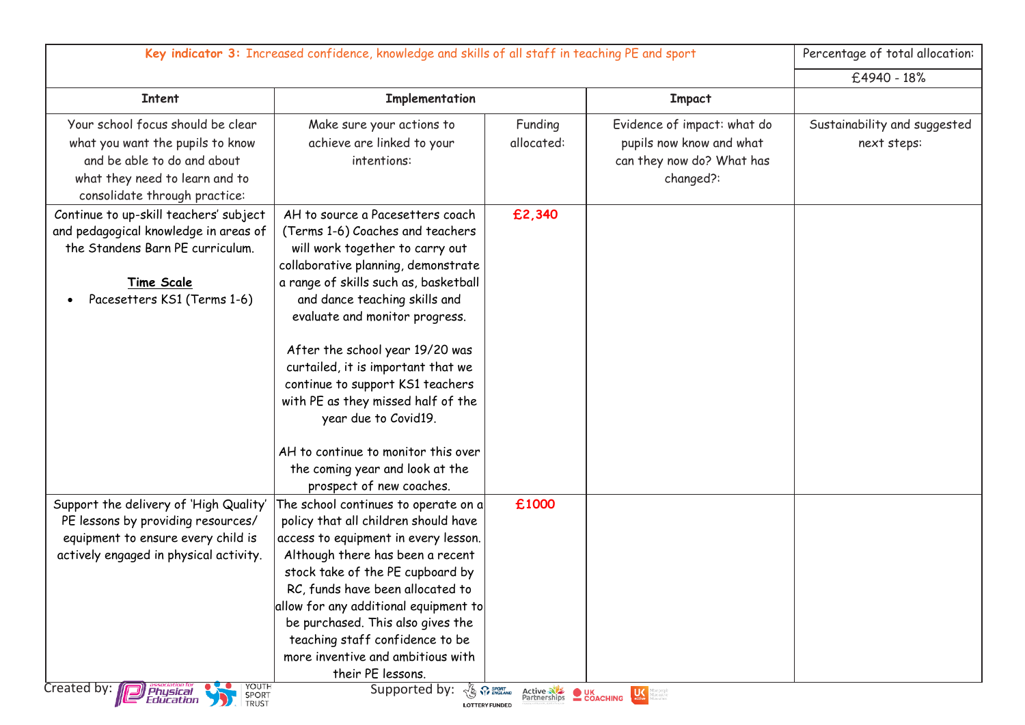| Key indicator 3: Increased confidence, knowledge and skills of all staff in teaching PE and sport                                                                                                      |                                                                                                                                                                                                                                                                                                                                                                                                                                                                              |                       | Percentage of total allocation:                                                                   |                                             |
|--------------------------------------------------------------------------------------------------------------------------------------------------------------------------------------------------------|------------------------------------------------------------------------------------------------------------------------------------------------------------------------------------------------------------------------------------------------------------------------------------------------------------------------------------------------------------------------------------------------------------------------------------------------------------------------------|-----------------------|---------------------------------------------------------------------------------------------------|---------------------------------------------|
|                                                                                                                                                                                                        |                                                                                                                                                                                                                                                                                                                                                                                                                                                                              |                       |                                                                                                   | £4940 - 18%                                 |
| <b>Intent</b>                                                                                                                                                                                          | Implementation                                                                                                                                                                                                                                                                                                                                                                                                                                                               |                       | <b>Impact</b>                                                                                     |                                             |
| Your school focus should be clear<br>what you want the pupils to know<br>and be able to do and about<br>what they need to learn and to<br>consolidate through practice:                                | Make sure your actions to<br>achieve are linked to your<br>intentions:                                                                                                                                                                                                                                                                                                                                                                                                       | Funding<br>allocated: | Evidence of impact: what do<br>pupils now know and what<br>can they now do? What has<br>changed?: | Sustainability and suggested<br>next steps: |
| Continue to up-skill teachers' subject<br>and pedagogical knowledge in areas of<br>the Standens Barn PE curriculum.<br><b>Time Scale</b><br>Pacesetters KS1 (Terms 1-6)                                | AH to source a Pacesetters coach<br>(Terms 1-6) Coaches and teachers<br>will work together to carry out<br>collaborative planning, demonstrate<br>a range of skills such as, basketball<br>and dance teaching skills and<br>evaluate and monitor progress.<br>After the school year 19/20 was<br>curtailed, it is important that we<br>continue to support KS1 teachers<br>with PE as they missed half of the<br>year due to Covid19.<br>AH to continue to monitor this over | £2,340                |                                                                                                   |                                             |
|                                                                                                                                                                                                        | the coming year and look at the<br>prospect of new coaches.                                                                                                                                                                                                                                                                                                                                                                                                                  |                       |                                                                                                   |                                             |
| Support the delivery of 'High Quality'<br>PE lessons by providing resources/<br>equipment to ensure every child is<br>actively engaged in physical activity.<br>YOUTH<br>Created by: <b>D</b> Physical | The school continues to operate on a<br>policy that all children should have<br>access to equipment in every lesson.<br>Although there has been a recent<br>stock take of the PE cupboard by<br>RC, funds have been allocated to<br>allow for any additional equipment to<br>be purchased. This also gives the<br>teaching staff confidence to be<br>more inventive and ambitious with<br>their PE lessons.<br>Supported by:<br><b>LAS SPORT</b>                             | £1000                 | Active Nie LK LK Magazine                                                                         |                                             |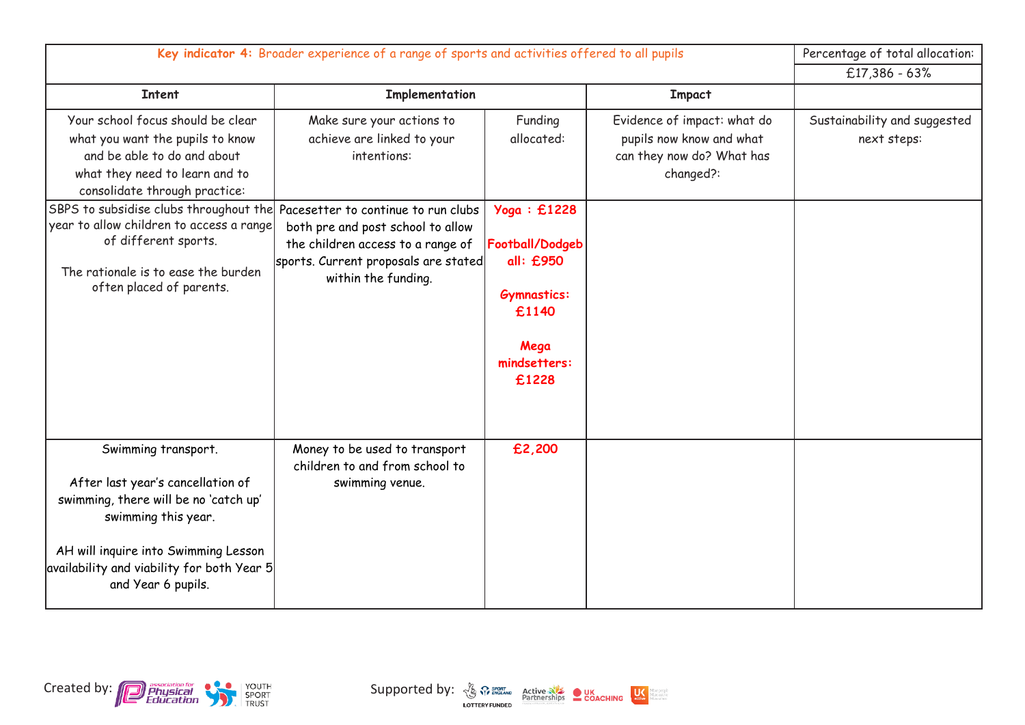| Key indicator 4: Broader experience of a range of sports and activities offered to all pupils                                                                                                                                        |                                                                                                                                       |                                                                                                             |                                                                                                   | Percentage of total allocation:             |
|--------------------------------------------------------------------------------------------------------------------------------------------------------------------------------------------------------------------------------------|---------------------------------------------------------------------------------------------------------------------------------------|-------------------------------------------------------------------------------------------------------------|---------------------------------------------------------------------------------------------------|---------------------------------------------|
|                                                                                                                                                                                                                                      |                                                                                                                                       |                                                                                                             |                                                                                                   | $£17,386 - 63%$                             |
| <b>Intent</b>                                                                                                                                                                                                                        | Implementation                                                                                                                        |                                                                                                             | <b>Impact</b>                                                                                     |                                             |
| Your school focus should be clear<br>what you want the pupils to know<br>and be able to do and about<br>what they need to learn and to<br>consolidate through practice:                                                              | Make sure your actions to<br>achieve are linked to your<br>intentions:                                                                | Funding<br>allocated:                                                                                       | Evidence of impact: what do<br>pupils now know and what<br>can they now do? What has<br>changed?: | Sustainability and suggested<br>next steps: |
| SBPS to subsidise clubs throughout the Pacesetter to continue to run clubs<br>year to allow children to access a range<br>of different sports.<br>The rationale is to ease the burden<br>often placed of parents.                    | both pre and post school to allow<br>the children access to a range of<br>sports. Current proposals are stated<br>within the funding. | Yoga: £1228<br>Football/Dodgeb<br>all: £950<br><b>Gymnastics:</b><br>£1140<br>Mega<br>mindsetters:<br>£1228 |                                                                                                   |                                             |
| Swimming transport.<br>After last year's cancellation of<br>swimming, there will be no 'catch up'<br>swimming this year.<br>AH will inquire into Swimming Lesson<br>availability and viability for both Year 5<br>and Year 6 pupils. | Money to be used to transport<br>children to and from school to<br>swimming venue.                                                    | £2,200                                                                                                      |                                                                                                   |                                             |

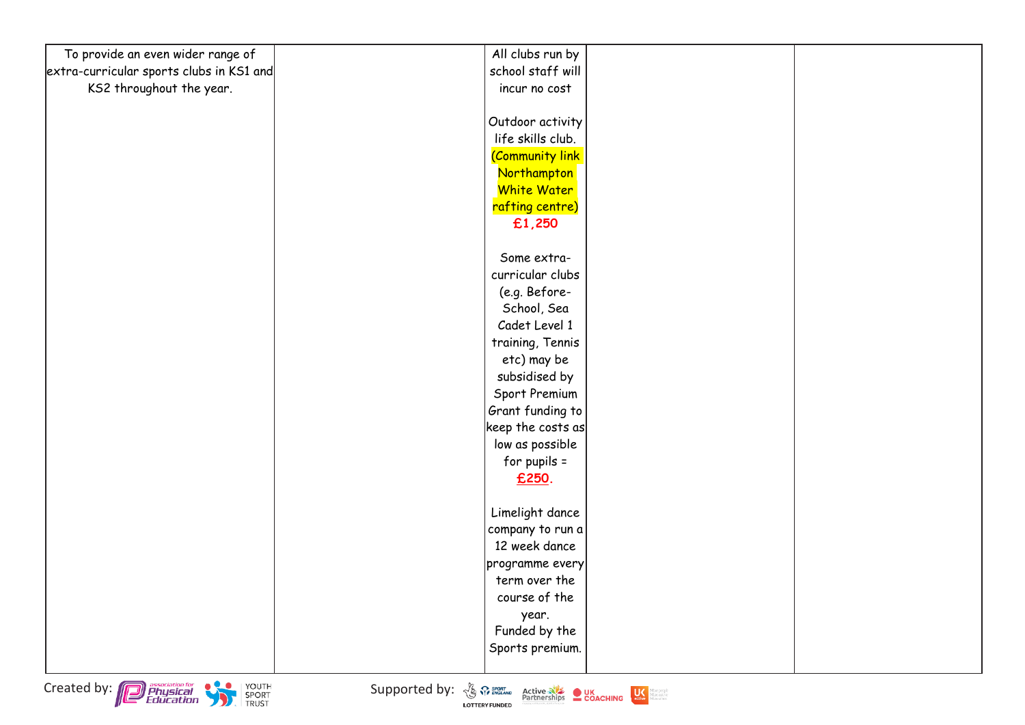| To provide an even wider range of        | All clubs run by   |  |
|------------------------------------------|--------------------|--|
| extra-curricular sports clubs in KS1 and | school staff will  |  |
| KS2 throughout the year.                 | incur no cost      |  |
|                                          |                    |  |
|                                          | Outdoor activity   |  |
|                                          | life skills club.  |  |
|                                          | (Community link    |  |
|                                          | Northampton        |  |
|                                          | <b>White Water</b> |  |
|                                          | rafting centre)    |  |
|                                          | £1,250             |  |
|                                          |                    |  |
|                                          | Some extra-        |  |
|                                          | curricular clubs   |  |
|                                          | (e.g. Before-      |  |
|                                          | School, Sea        |  |
|                                          | Cadet Level 1      |  |
|                                          | training, Tennis   |  |
|                                          | etc) may be        |  |
|                                          | subsidised by      |  |
|                                          | Sport Premium      |  |
|                                          | Grant funding to   |  |
|                                          | keep the costs as  |  |
|                                          | low as possible    |  |
|                                          | for pupils $=$     |  |
|                                          | £250.              |  |
|                                          |                    |  |
|                                          | Limelight dance    |  |
|                                          | company to run a   |  |
|                                          | 12 week dance      |  |
|                                          | programme every    |  |
|                                          | term over the      |  |
|                                          | course of the      |  |
|                                          | year.              |  |
|                                          | Funded by the      |  |
|                                          | Sports premium.    |  |
|                                          |                    |  |

Created by: **Consumer Consumer Consumer Supported by:**  $\frac{N}{2}$   $\frac{N}{2}$   $\frac{P_{\text{outflow}}}{P_{\text{outflow}}}$  **COACHING**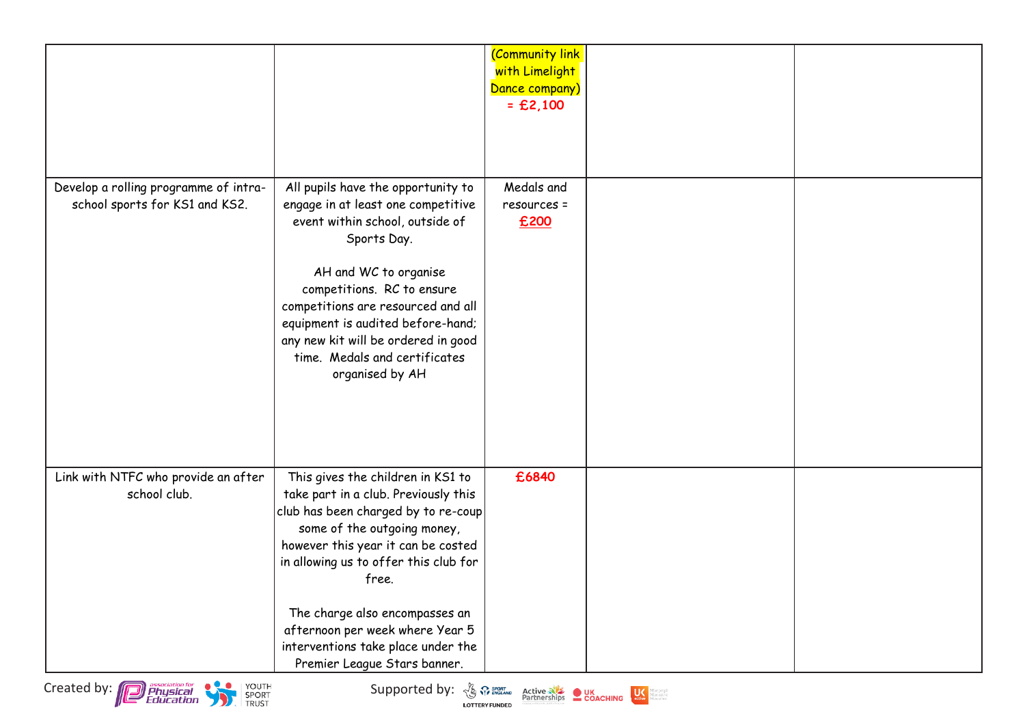|                                                                         |                                                                                                                                                                                                                                                                                                                                                                                    | <b>Community link</b><br>with Limelight<br>Dance company)<br>$=$ £2,100 |  |
|-------------------------------------------------------------------------|------------------------------------------------------------------------------------------------------------------------------------------------------------------------------------------------------------------------------------------------------------------------------------------------------------------------------------------------------------------------------------|-------------------------------------------------------------------------|--|
| Develop a rolling programme of intra-<br>school sports for KS1 and KS2. | All pupils have the opportunity to<br>engage in at least one competitive<br>event within school, outside of<br>Sports Day.<br>AH and WC to organise<br>competitions. RC to ensure<br>competitions are resourced and all<br>equipment is audited before-hand;<br>any new kit will be ordered in good<br>time. Medals and certificates<br>organised by AH                            | Medals and<br>resources =<br>£200                                       |  |
| Link with NTFC who provide an after<br>school club.                     | This gives the children in KS1 to<br>take part in a club. Previously this<br>club has been charged by to re-coup<br>some of the outgoing money,<br>however this year it can be costed<br>in allowing us to offer this club for<br>free.<br>The charge also encompasses an<br>afternoon per week where Year 5<br>interventions take place under the<br>Premier League Stars banner. | £6840                                                                   |  |



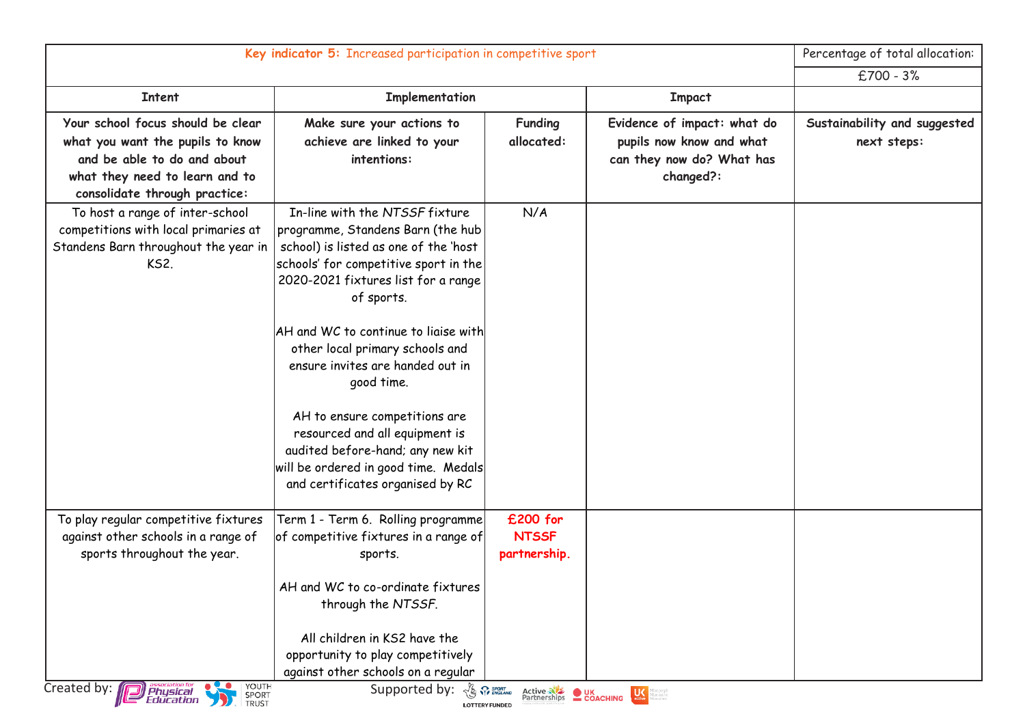|                                                                                                                                                                         | Key indicator 5: Increased participation in competitive sport                                                                                                                                                                                                                                                                                                                                                                                                                                                              |                                                                                             |                                                                                                   | Percentage of total allocation:             |
|-------------------------------------------------------------------------------------------------------------------------------------------------------------------------|----------------------------------------------------------------------------------------------------------------------------------------------------------------------------------------------------------------------------------------------------------------------------------------------------------------------------------------------------------------------------------------------------------------------------------------------------------------------------------------------------------------------------|---------------------------------------------------------------------------------------------|---------------------------------------------------------------------------------------------------|---------------------------------------------|
|                                                                                                                                                                         |                                                                                                                                                                                                                                                                                                                                                                                                                                                                                                                            |                                                                                             |                                                                                                   | $£700 - 3%$                                 |
| <b>Intent</b>                                                                                                                                                           | Implementation                                                                                                                                                                                                                                                                                                                                                                                                                                                                                                             |                                                                                             | <b>Impact</b>                                                                                     |                                             |
| Your school focus should be clear<br>what you want the pupils to know<br>and be able to do and about<br>what they need to learn and to<br>consolidate through practice: | Make sure your actions to<br>achieve are linked to your<br>intentions:                                                                                                                                                                                                                                                                                                                                                                                                                                                     | <b>Funding</b><br>allocated:                                                                | Evidence of impact: what do<br>pupils now know and what<br>can they now do? What has<br>changed?: | Sustainability and suggested<br>next steps: |
| To host a range of inter-school<br>competitions with local primaries at<br>Standens Barn throughout the year in<br><b>KS2.</b>                                          | In-line with the NTSSF fixture<br>programme, Standens Barn (the hub<br>school) is listed as one of the 'host<br>schools' for competitive sport in the<br>2020-2021 fixtures list for a range<br>of sports.<br>AH and WC to continue to liaise with<br>other local primary schools and<br>ensure invites are handed out in<br>good time.<br>AH to ensure competitions are<br>resourced and all equipment is<br>audited before-hand; any new kit<br>will be ordered in good time. Medals<br>and certificates organised by RC | N/A                                                                                         |                                                                                                   |                                             |
| To play regular competitive fixtures<br>against other schools in a range of<br>sports throughout the year.<br>YOUTH<br>Created by: <b>Department</b><br>SPORT<br>TRUST  | Term 1 - Term 6. Rolling programme<br>of competitive fixtures in a range of<br>sports.<br>AH and WC to co-ordinate fixtures<br>through the NTSSF.<br>All children in KS2 have the<br>opportunity to play competitively<br>against other schools on a regular<br>Supported by: $\frac{1}{\sqrt{2}}$ $\frac{S}{N}$ $\frac{SPOHT}{EMGLAND}$                                                                                                                                                                                   | £200 for<br><b>NTSSF</b><br>partnership.<br><b>Active NE OR UK</b><br>Partnerships COACHING | $\bigcup_{\text{active}}$<br>Marepeople<br>Mareactive<br>Mareoften                                |                                             |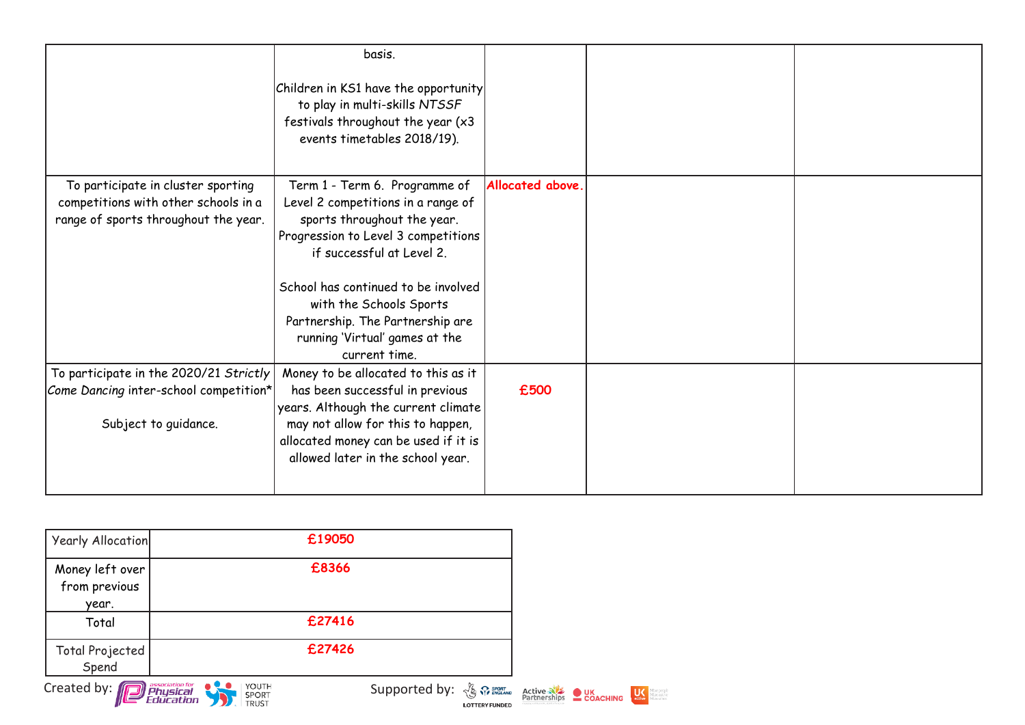|                                                                                                                    | basis.<br>Children in KS1 have the opportunity<br>to play in multi-skills NTSSF<br>festivals throughout the year (x3<br>events timetables 2018/19).                                                                                                                                                                             |                  |  |
|--------------------------------------------------------------------------------------------------------------------|---------------------------------------------------------------------------------------------------------------------------------------------------------------------------------------------------------------------------------------------------------------------------------------------------------------------------------|------------------|--|
| To participate in cluster sporting<br>competitions with other schools in a<br>range of sports throughout the year. | Term 1 - Term 6. Programme of<br>Level 2 competitions in a range of<br>sports throughout the year.<br>Progression to Level 3 competitions<br>if successful at Level 2.<br>School has continued to be involved<br>with the Schools Sports<br>Partnership. The Partnership are<br>running 'Virtual' games at the<br>current time. | Allocated above. |  |
| To participate in the 2020/21 Strictly<br>Come Dancing inter-school competition*<br>Subject to guidance.           | Money to be allocated to this as it<br>has been successful in previous<br>years. Although the current climate<br>may not allow for this to happen,<br>allocated money can be used if it is<br>allowed later in the school year.                                                                                                 | £500             |  |

| Yearly Allocation                         | £19050                  |                                                                                                     |  |                        |
|-------------------------------------------|-------------------------|-----------------------------------------------------------------------------------------------------|--|------------------------|
| Money left over<br>from previous<br>year. | £8366                   |                                                                                                     |  |                        |
| Total                                     | £27416                  |                                                                                                     |  |                        |
| Total Projected<br>Spend                  | £27426                  |                                                                                                     |  |                        |
| Created by: <b>Proprietion</b> tor        | YOUTH<br>SPORT<br>TRUST | Supported by: $\frac{N}{2}$ $\frac{S}{N}$ sport Active and Active COACHING<br><b>LOTTERY FUNDED</b> |  | <b>Mare Marcactive</b> |